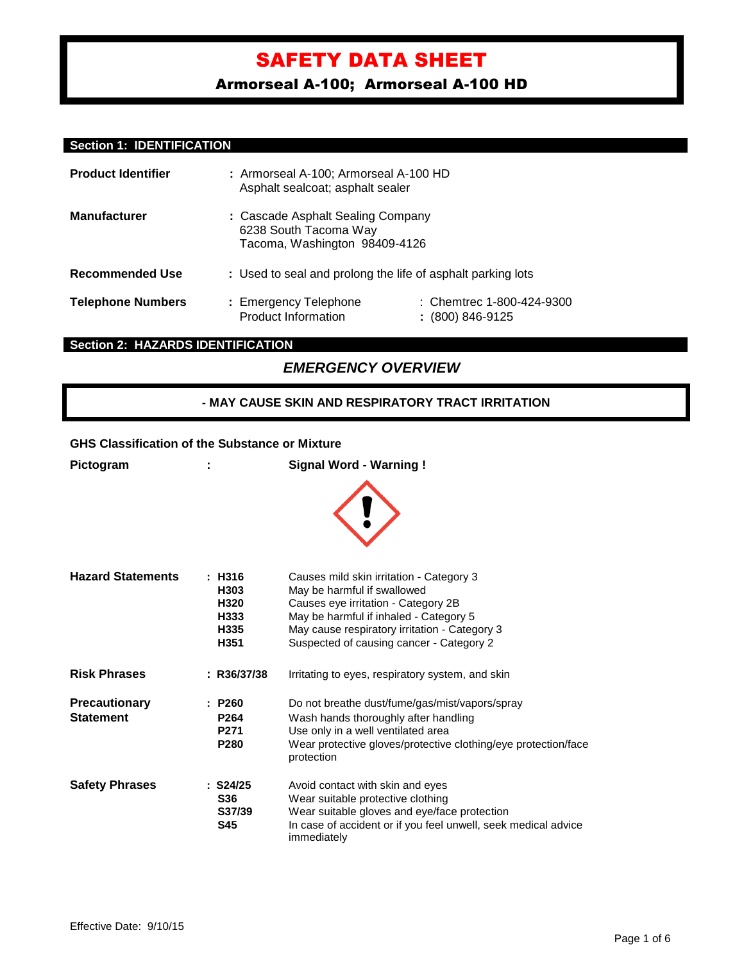Armorseal A-100; Armorseal A-100 HD

## **Section 1: IDENTIFICATION**

| <b>Product Identifier</b> | : Armorseal A-100; Armorseal A-100 HD<br>Asphalt sealcoat; asphalt sealer                   |                                                 |  |
|---------------------------|---------------------------------------------------------------------------------------------|-------------------------------------------------|--|
| <b>Manufacturer</b>       | : Cascade Asphalt Sealing Company<br>6238 South Tacoma Way<br>Tacoma, Washington 98409-4126 |                                                 |  |
| <b>Recommended Use</b>    | : Used to seal and prolong the life of asphalt parking lots                                 |                                                 |  |
| <b>Telephone Numbers</b>  | : Emergency Telephone<br><b>Product Information</b>                                         | : Chemtrec 1-800-424-9300<br>$: (800) 846-9125$ |  |

## **Section 2: HAZARDS IDENTIFICATION**

## *EMERGENCY OVERVIEW*

## **- MAY CAUSE SKIN AND RESPIRATORY TRACT IRRITATION**

## **GHS Classification of the Substance or Mixture**

| Pictogram                                |                                                                    | <b>Signal Word - Warning!</b>                                                                                                                                                                                                                         |
|------------------------------------------|--------------------------------------------------------------------|-------------------------------------------------------------------------------------------------------------------------------------------------------------------------------------------------------------------------------------------------------|
|                                          |                                                                    |                                                                                                                                                                                                                                                       |
| <b>Hazard Statements</b>                 | : H316<br>H303<br>H320<br>H333<br>H335<br>H351                     | Causes mild skin irritation - Category 3<br>May be harmful if swallowed<br>Causes eye irritation - Category 2B<br>May be harmful if inhaled - Category 5<br>May cause respiratory irritation - Category 3<br>Suspected of causing cancer - Category 2 |
| <b>Risk Phrases</b>                      | : R36/37/38                                                        | Irritating to eyes, respiratory system, and skin                                                                                                                                                                                                      |
| <b>Precautionary</b><br><b>Statement</b> | : P260<br>P <sub>264</sub><br>P <sub>271</sub><br>P <sub>280</sub> | Do not breathe dust/fume/gas/mist/vapors/spray<br>Wash hands thoroughly after handling<br>Use only in a well ventilated area<br>Wear protective gloves/protective clothing/eye protection/face<br>protection                                          |
| <b>Safety Phrases</b>                    | $:$ S24/25<br><b>S36</b><br>S37/39<br><b>S45</b>                   | Avoid contact with skin and eyes<br>Wear suitable protective clothing<br>Wear suitable gloves and eye/face protection<br>In case of accident or if you feel unwell, seek medical advice<br>immediately                                                |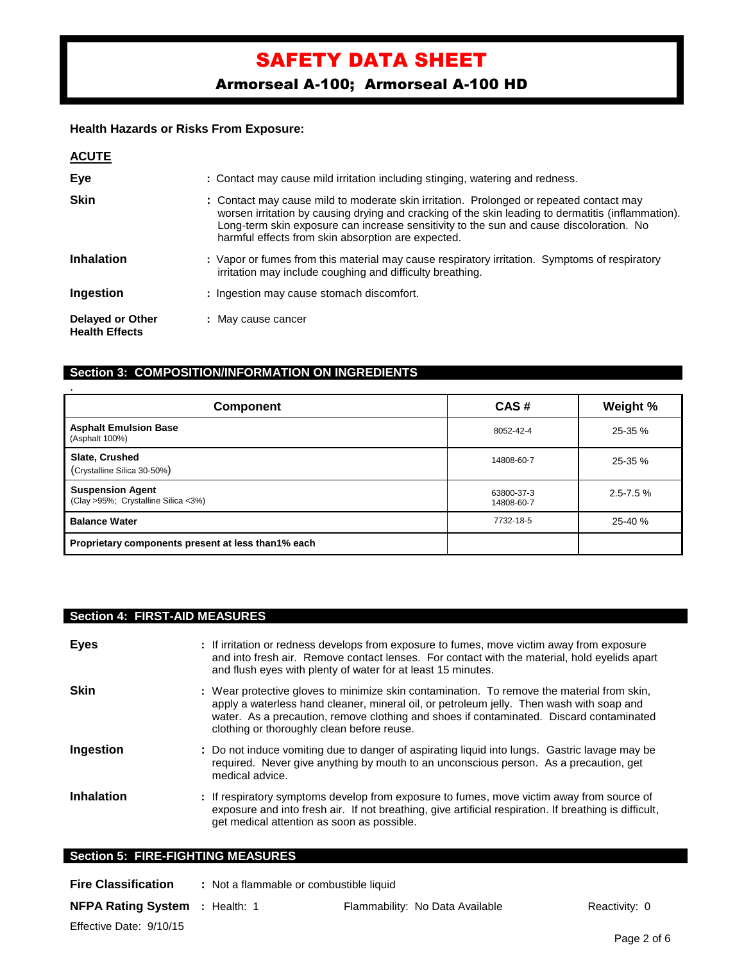Armorseal A-100; Armorseal A-100 HD

## **Health Hazards or Risks From Exposure:**

| <b>ACUTE</b>                              |                                                                                                                                                                                                                                                                                                                                                |
|-------------------------------------------|------------------------------------------------------------------------------------------------------------------------------------------------------------------------------------------------------------------------------------------------------------------------------------------------------------------------------------------------|
| Eye                                       | : Contact may cause mild irritation including stinging, watering and redness.                                                                                                                                                                                                                                                                  |
| <b>Skin</b>                               | : Contact may cause mild to moderate skin irritation. Prolonged or repeated contact may<br>worsen irritation by causing drying and cracking of the skin leading to dermatitis (inflammation).<br>Long-term skin exposure can increase sensitivity to the sun and cause discoloration. No<br>harmful effects from skin absorption are expected. |
| <b>Inhalation</b>                         | : Vapor or fumes from this material may cause respiratory irritation. Symptoms of respiratory<br>irritation may include coughing and difficulty breathing.                                                                                                                                                                                     |
| Ingestion                                 | : Ingestion may cause stomach discomfort.                                                                                                                                                                                                                                                                                                      |
| Delayed or Other<br><b>Health Effects</b> | : May cause cancer                                                                                                                                                                                                                                                                                                                             |

## **Section 3: COMPOSITION/INFORMATION ON INGREDIENTS**

| Component                                                      | CAS#                     | Weight %      |
|----------------------------------------------------------------|--------------------------|---------------|
| <b>Asphalt Emulsion Base</b><br>(Asphalt 100%)                 | 8052-42-4                | 25-35 %       |
| Slate, Crushed<br>(Crystalline Silica 30-50%)                  | 14808-60-7               | 25-35 %       |
| <b>Suspension Agent</b><br>(Clay >95%; Crystalline Silica <3%) | 63800-37-3<br>14808-60-7 | $2.5 - 7.5$ % |
| <b>Balance Water</b>                                           | 7732-18-5                | 25-40 %       |
| Proprietary components present at less than1% each             |                          |               |

## **Section 4: FIRST-AID MEASURES**

| <b>Eyes</b>       | : If irritation or redness develops from exposure to fumes, move victim away from exposure<br>and into fresh air. Remove contact lenses. For contact with the material, hold eyelids apart<br>and flush eyes with plenty of water for at least 15 minutes.                                                                      |
|-------------------|---------------------------------------------------------------------------------------------------------------------------------------------------------------------------------------------------------------------------------------------------------------------------------------------------------------------------------|
| <b>Skin</b>       | : Wear protective gloves to minimize skin contamination. To remove the material from skin,<br>apply a waterless hand cleaner, mineral oil, or petroleum jelly. Then wash with soap and<br>water. As a precaution, remove clothing and shoes if contaminated. Discard contaminated<br>clothing or thoroughly clean before reuse. |
| Ingestion         | : Do not induce vomiting due to danger of aspirating liquid into lungs. Gastric lavage may be<br>required. Never give anything by mouth to an unconscious person. As a precaution, get<br>medical advice.                                                                                                                       |
| <b>Inhalation</b> | : If respiratory symptoms develop from exposure to fumes, move victim away from source of<br>exposure and into fresh air. If not breathing, give artificial respiration. If breathing is difficult,<br>get medical attention as soon as possible.                                                                               |
|                   | <b>Section 5: FIRE-FIGHTING MEASURES</b>                                                                                                                                                                                                                                                                                        |

| <b>Fire Classification</b> | : Not a flammable or combustible liquid |  |
|----------------------------|-----------------------------------------|--|
|                            |                                         |  |

**NFPA Rating System** : Health: 1 Flammability: No Data Available Reactivity: 0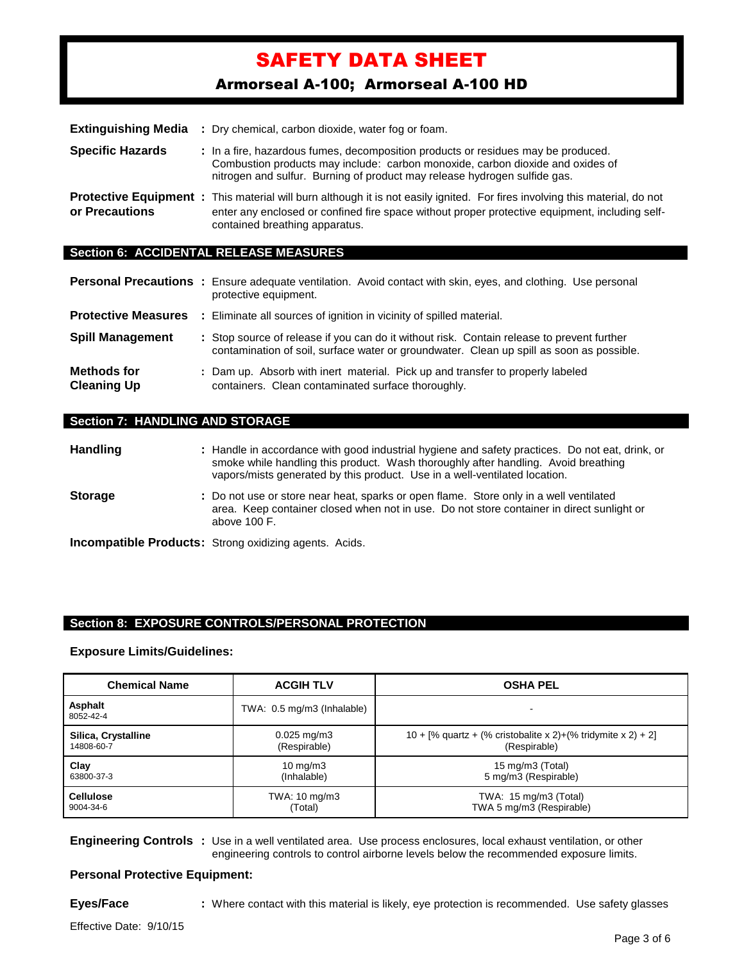Armorseal A-100; Armorseal A-100 HD

| <b>Extinguishing Media</b> | : Dry chemical, carbon dioxide, water fog or foam.                                                                                                                                                                                                                     |
|----------------------------|------------------------------------------------------------------------------------------------------------------------------------------------------------------------------------------------------------------------------------------------------------------------|
| <b>Specific Hazards</b>    | : In a fire, hazardous fumes, decomposition products or residues may be produced.<br>Combustion products may include: carbon monoxide, carbon dioxide and oxides of<br>nitrogen and sulfur. Burning of product may release hydrogen sulfide gas.                       |
| or Precautions             | <b>Protective Equipment</b> : This material will burn although it is not easily ignited. For fires involving this material, do not<br>enter any enclosed or confined fire space without proper protective equipment, including self-<br>contained breathing apparatus. |
|                            | <b>Section 6: ACCIDENTAL RELEASE MEASURES</b>                                                                                                                                                                                                                          |

|                                          | <b>Personal Precautions</b> : Ensure adequate ventilation. Avoid contact with skin, eyes, and clothing. Use personal<br>protective equipment.                                          |
|------------------------------------------|----------------------------------------------------------------------------------------------------------------------------------------------------------------------------------------|
| <b>Protective Measures</b>               | : Eliminate all sources of ignition in vicinity of spilled material.                                                                                                                   |
| <b>Spill Management</b>                  | : Stop source of release if you can do it without risk. Contain release to prevent further<br>contamination of soil, surface water or groundwater. Clean up spill as soon as possible. |
| <b>Methods for</b><br><b>Cleaning Up</b> | : Dam up. Absorb with inert material. Pick up and transfer to properly labeled<br>containers. Clean contaminated surface thoroughly.                                                   |

## **Section 7: HANDLING AND STORAGE**

| <b>Handling</b> | : Handle in accordance with good industrial hygiene and safety practices. Do not eat, drink, or<br>smoke while handling this product. Wash thoroughly after handling. Avoid breathing<br>vapors/mists generated by this product. Use in a well-ventilated location. |  |  |
|-----------------|---------------------------------------------------------------------------------------------------------------------------------------------------------------------------------------------------------------------------------------------------------------------|--|--|
| <b>Storage</b>  | : Do not use or store near heat, sparks or open flame. Store only in a well ventilated<br>area. Keep container closed when not in use. Do not store container in direct sunlight or<br>above 100 F.                                                                 |  |  |
|                 | <b>Incompatible Products:</b> Strong oxidizing agents. Acids.                                                                                                                                                                                                       |  |  |

## **Section 8: EXPOSURE CONTROLS/PERSONAL PROTECTION**

#### **Exposure Limits/Guidelines:**

| <b>Chemical Name</b> | <b>ACGIH TLV</b>           | <b>OSHA PEL</b>                                              |
|----------------------|----------------------------|--------------------------------------------------------------|
| Asphalt<br>8052-42-4 | TWA: 0.5 mg/m3 (Inhalable) |                                                              |
| Silica, Crystalline  | $0.025$ mg/m3              | 10 + [% quartz + (% cristobalite x 2)+(% tridymite x 2) + 2] |
| 14808-60-7           | (Respirable)               | (Respirable)                                                 |
| Clay                 | $10 \text{ mg/m}$          | 15 mg/m3 (Total)                                             |
| 63800-37-3           | (Inhalable)                | 5 mg/m3 (Respirable)                                         |
| <b>Cellulose</b>     | TWA: 10 mg/m3              | TWA: $15 \text{ mg/m}$ 3 (Total)                             |
| 9004-34-6            | (Total)                    | TWA 5 mg/m3 (Respirable)                                     |

**Engineering Controls :** Use in a well ventilated area. Use process enclosures, local exhaust ventilation, or other engineering controls to control airborne levels below the recommended exposure limits.

## **Personal Protective Equipment:**

**Eyes/Face :** Where contact with this material is likely, eye protection is recommended. Use safety glasses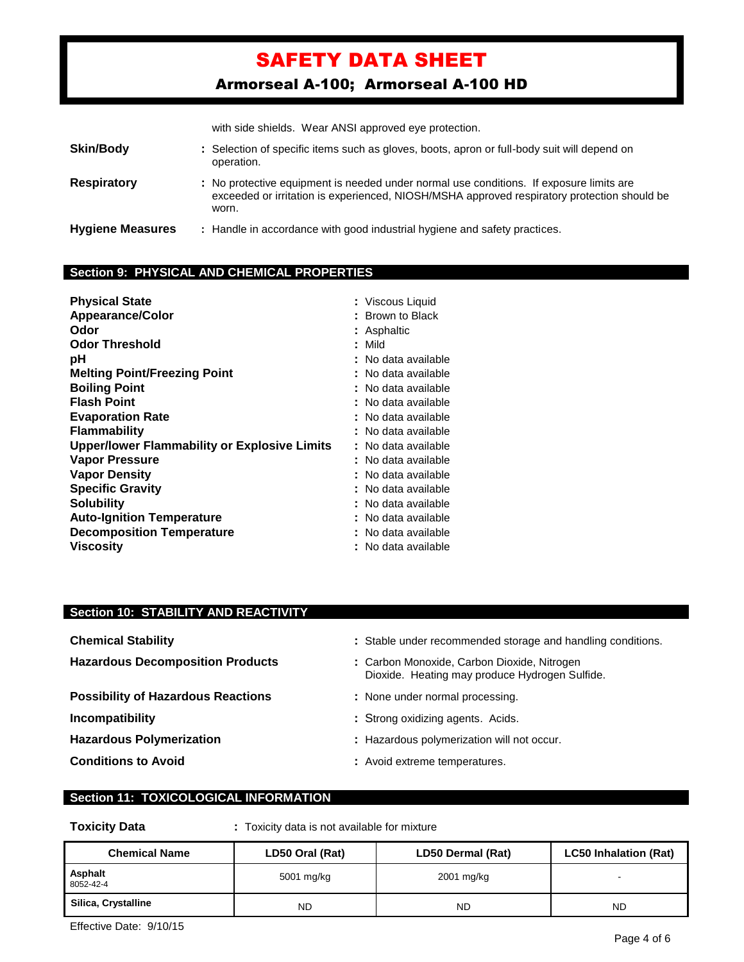Armorseal A-100; Armorseal A-100 HD

with side shields. Wear ANSI approved eye protection.

| <b>Skin/Body</b>        | : Selection of specific items such as gloves, boots, apron or full-body suit will depend on<br>operation.                                                                                       |
|-------------------------|-------------------------------------------------------------------------------------------------------------------------------------------------------------------------------------------------|
| <b>Respiratory</b>      | : No protective equipment is needed under normal use conditions. If exposure limits are<br>exceeded or irritation is experienced, NIOSH/MSHA approved respiratory protection should be<br>worn. |
| <b>Hygiene Measures</b> | : Handle in accordance with good industrial hygiene and safety practices.                                                                                                                       |

## **Section 9: PHYSICAL AND CHEMICAL PROPERTIES**

| <b>Physical State</b><br><b>Appearance/Color</b><br>Odor | : Viscous Liquid<br>: Brown to Black<br>: Asphaltic |
|----------------------------------------------------------|-----------------------------------------------------|
| <b>Odor Threshold</b>                                    | : Mild                                              |
| рH                                                       | : No data available                                 |
| <b>Melting Point/Freezing Point</b>                      | : No data available                                 |
| <b>Boiling Point</b>                                     | : No data available                                 |
| <b>Flash Point</b>                                       | : No data available                                 |
| <b>Evaporation Rate</b>                                  | : No data available                                 |
| <b>Flammability</b>                                      | :   No data available                               |
| <b>Upper/lower Flammability or Explosive Limits</b>      | : No data available                                 |
| Vapor Pressure                                           | : No data available                                 |
| <b>Vapor Density</b>                                     | : No data available                                 |
| <b>Specific Gravity</b>                                  | : No data available                                 |
| <b>Solubility</b>                                        | : No data available                                 |
| <b>Auto-Ignition Temperature</b>                         | : No data available                                 |
| <b>Decomposition Temperature</b>                         | : No data available                                 |
| <b>Viscosity</b>                                         | : No data available                                 |

## **Section 10: STABILITY AND REACTIVITY**

**Possibility of Hazardous Reactions : None under normal processing.** 

- **Chemical Stability :** Stable under recommended storage and handling conditions.
- **Hazardous Decomposition Products :** Carbon Monoxide, Carbon Dioxide, Nitrogen Dioxide. Heating may produce Hydrogen Sulfide.
	-
- **Incompatibility incompatibility :** Strong oxidizing agents. Acids.
- **Hazardous Polymerization :** Hazardous polymerization will not occur.
- **Conditions to Avoid :** Avoid extreme temperatures.

## **Section 11: TOXICOLOGICAL INFORMATION**

**Toxicity Data :** Toxicity data is not available for mixture

| <b>Chemical Name</b> | LD50 Oral (Rat) | LD50 Dermal (Rat) | <b>LC50 Inhalation (Rat)</b> |
|----------------------|-----------------|-------------------|------------------------------|
| Asphalt<br>8052-42-4 | 5001 mg/kg      | 2001 mg/kg        | -                            |
| Silica, Crystalline  | <b>ND</b>       | <b>ND</b>         | <b>ND</b>                    |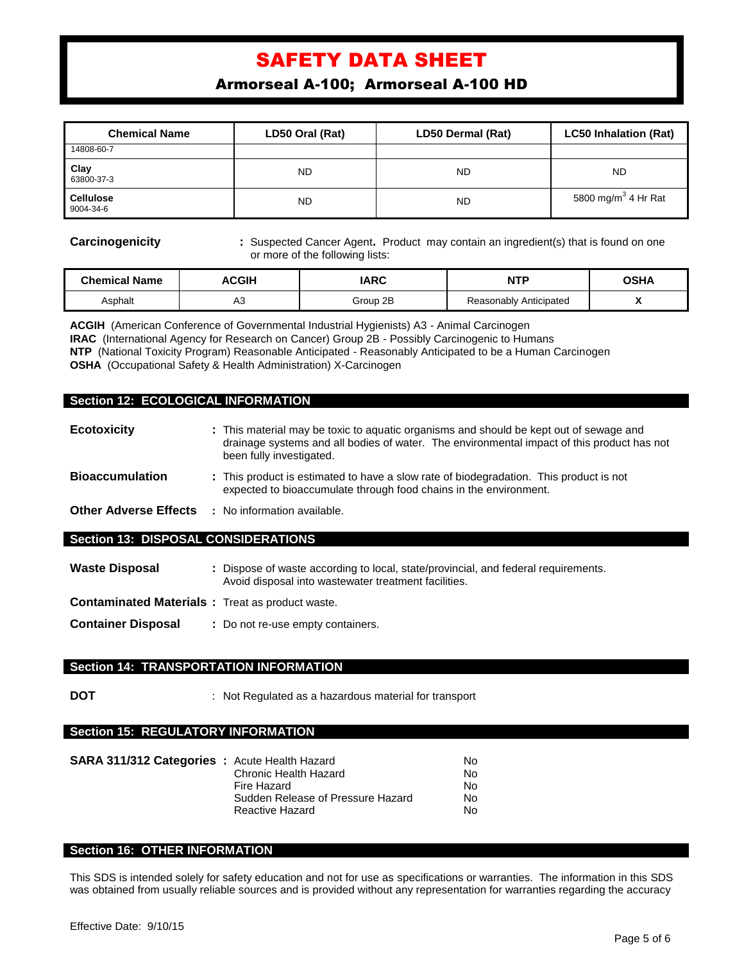Armorseal A-100; Armorseal A-100 HD

| <b>Chemical Name</b>          | LD50 Oral (Rat) | LD50 Dermal (Rat) | <b>LC50 Inhalation (Rat)</b>    |
|-------------------------------|-----------------|-------------------|---------------------------------|
| 14808-60-7                    |                 |                   |                                 |
| Clay<br>63800-37-3            | <b>ND</b>       | <b>ND</b>         | <b>ND</b>                       |
| <b>Cellulose</b><br>9004-34-6 | <b>ND</b>       | <b>ND</b>         | 5800 mg/m <sup>3</sup> 4 Hr Rat |

**Carcinogenicity :** Suspected Cancer Agent. Product may contain an ingredient(s) that is found on one or more of the following lists:

| <b>Chemical Name</b> | <b>\CGIH</b> | <b>IARC</b> | <b>NTP</b>             | OSHA |
|----------------------|--------------|-------------|------------------------|------|
| Asphalt              | nυ           | Group 2B    | Reasonably Anticipated | . .  |

**ACGIH** (American Conference of Governmental Industrial Hygienists) A3 - Animal Carcinogen **IRAC** (International Agency for Research on Cancer) Group 2B - Possibly Carcinogenic to Humans **NTP** (National Toxicity Program) Reasonable Anticipated - Reasonably Anticipated to be a Human Carcinogen **OSHA** (Occupational Safety & Health Administration) X-Carcinogen

#### **Section 12: ECOLOGICAL INFORMATION**

| <b>Ecotoxicity</b>                         | : This material may be toxic to aquatic organisms and should be kept out of sewage and<br>drainage systems and all bodies of water. The environmental impact of this product has not<br>been fully investigated. |  |
|--------------------------------------------|------------------------------------------------------------------------------------------------------------------------------------------------------------------------------------------------------------------|--|
| <b>Bioaccumulation</b>                     | : This product is estimated to have a slow rate of biodegradation. This product is not<br>expected to bioaccumulate through food chains in the environment.                                                      |  |
| <b>Other Adverse Effects</b>               | : No information available.                                                                                                                                                                                      |  |
| <b>Section 13: DISPOSAL CONSIDERATIONS</b> |                                                                                                                                                                                                                  |  |
| <b>Waste Disposal</b>                      | : Dispose of waste according to local, state/provincial, and federal requirements.                                                                                                                               |  |

- Avoid disposal into wastewater treatment facilities. **Contaminated Materials :** Treat as product waste.
- 
- **Container Disposal :** Do not re-use empty containers.

## **Section 14: TRANSPORTATION INFORMATION**

**DOT** : Not Regulated as a hazardous material for transport

## **Section 15: REGULATORY INFORMATION**

| <b>SARA 311/312 Categories : Acute Health Hazard</b> |                                   | N٥  |
|------------------------------------------------------|-----------------------------------|-----|
|                                                      | Chronic Health Hazard             | No. |
|                                                      | Fire Hazard                       | No. |
|                                                      | Sudden Release of Pressure Hazard | No. |
|                                                      | Reactive Hazard                   | No. |

## **Section 16: OTHER INFORMATION**

This SDS is intended solely for safety education and not for use as specifications or warranties. The information in this SDS was obtained from usually reliable sources and is provided without any representation for warranties regarding the accuracy